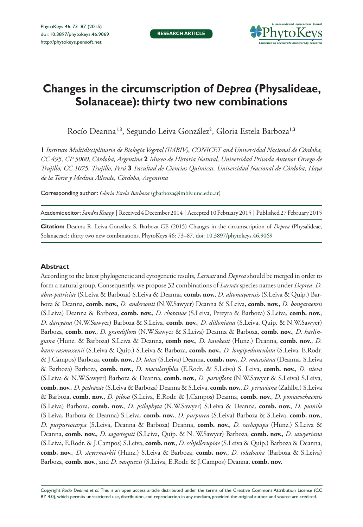**RESEARCH ARTICLE**



# **Changes in the circumscription of** *Deprea* **(Physalideae, Solanaceae): thirty two new combinations**

Rocío Deanna<sup>1,3</sup>, Segundo Leiva González<sup>2</sup>, Gloria Estela Barboza<sup>1,3</sup>

**1** *Instituto Multidisciplinario de Biología Vegetal (IMBIV), CONICET and Universidad Nacional de Córdoba, CC 495, CP 5000, Córdoba, Argentina* **2** *Museo de Historia Natural, Universidad Privada Antenor Orrego de Trujillo, CC 1075, Trujillo, Perú* **3** *Facultad de Ciencias Químicas, Universidad Nacional de Córdoba, Haya de la Torre y Medina Allende, Córdoba, Argentina*

Corresponding author: *Gloria Estela Barboza* [\(gbarboza@imbiv.unc.edu.ar](mailto:gbarboza@imbiv.unc.edu.ar))

Academic editor: *Sandra Knapp* | Received 4 December 2014 | Accepted 10 Febtuary 2015 | Published 27 February 2015

**Citation:** Deanna R, Leiva González S, Barboza GE (2015) Changes in the circumscription of *Deprea* (Physalideae, Solanaceae): thirty two new combinations. PhytoKeys 46: 73–87. [doi: 10.3897/phytokeys.46.9069](http://dx.doi.org/10.3897/phytokeys.46.9069)

#### **Abstract**

According to the latest phylogenetic and cytogenetic results, *Larnax* and *Deprea* should be merged in order to form a natural group. Consequently, we propose 32 combinations of *Larnax* species names under *Deprea*: *D. abra-patriciae* (S.Leiva & Barboza) S.Leiva & Deanna, **comb. nov.**, *D. altomayoensis* (S.Leiva & Quip.) Barboza & Deanna, **comb. nov.**, *D. andersonii* (N.W.Sawyer) Deanna & S.Leiva, **comb. nov.**, *D. bongaraensis*  (S.Leiva) Deanna & Barboza, **comb. nov.**, *D. chotanae* (S.Leiva, Pereyra & Barboza) S.Leiva, **comb. nov.**, *D. darcyana* (N.W.Sawyer) Barboza & S.Leiva, **comb. nov.**, *D. dilloniana* (S.Leiva, Quip. & N.W.Sawyer) Barboza, **comb. nov.**, *D. grandiflora* (N.W.Sawyer & S.Leiva) Deanna & Barboza, **comb. nov.**, *D. harlingiana* (Hunz. & Barboza) S.Leiva & Deanna, **comb nov.**, *D. hawkesii* (Hunz.) Deanna, **comb. nov.**, *D. kann-rasmussenii* (S.Leiva & Quip.) S.Leiva & Barboza, **comb. nov.**, *D. longipedunculata* (S.Leiva, E.Rodr. & J.Campos) Barboza, **comb. nov.**, *D. lutea* (S.Leiva) Deanna, **comb. nov.**, *D. macasiana* (Deanna, S.Leiva & Barboza) Barboza, **comb. nov.**, *D. maculatifolia* (E.Rodr. & S.Leiva) S. Leiva, **comb. nov.**, *D. nieva*  (S.Leiva & N.W.Sawyer) Barboza & Deanna, **comb. nov.**, *D. parviflora* (N.W.Sawyer & S.Leiva) S.Leiva, **comb. nov.**, *D. pedrazae* (S.Leiva & Barboza) Deanna & S.Leiva, **comb. nov.**, *D. peruviana* (Zahlbr.) S.Leiva & Barboza, **comb. nov.**, *D. pilosa* (S.Leiva, E.Rodr. & J.Campos) Deanna, **comb. nov.**, *D. pomacochaensis*  (S.Leiva) Barboza, **comb. nov.**, *D. psilophyta* (N.W.Sawyer) S.Leiva & Deanna, **comb. nov.**, *D. pumila*  (S.Leiva, Barboza & Deanna) S.Leiva, **comb. nov.**, *D. purpurea* (S.Leiva) Barboza & S.Leiva, **comb. nov.**, *D. purpureocarpa* (S.Leiva, Deanna & Barboza) Deanna, **comb. nov.**, *D. sachapapa* (Hunz.) S.Leiva & Deanna, **comb. nov.**, *D. sagasteguii* (S.Leiva, Quip. & N. W.Sawyer) Barboza, **comb. nov.**, *D. sawyeriana*  (S.Leiva, E.Rodr. & J.Campos) S.Leiva, **comb. nov.**, *D. schjellerupiae* (S.Leiva & Quip.) Barboza & Deanna, **comb. nov.**, *D. steyermarkii* (Hunz.) S.Leiva & Barboza, **comb. nov.**, *D. toledoana* (Barboza & S.Leiva) Barboza, **comb. nov.**, and *D. vasquezii* (S.Leiva, E.Rodr. & J.Campos) Deanna, **comb. nov.**

Copyright *Rocío Deanna et al.* This is an open access article distributed under the terms of the [Creative Commons Attribution License \(CC](http://creativecommons.org/licenses/by/4.0/)  [BY 4.0\)](http://creativecommons.org/licenses/by/4.0/), which permits unrestricted use, distribution, and reproduction in any medium, provided the original author and source are credited.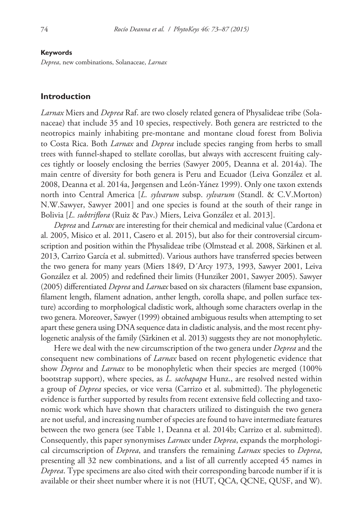#### **Keywords**

*Deprea*, new combinations, Solanaceae, *Larnax*

#### **Introduction**

*Larnax* Miers and *Deprea* Raf. are two closely related genera of Physalideae tribe (Solanaceae) that include 35 and 10 species, respectively. Both genera are restricted to the neotropics mainly inhabiting pre-montane and montane cloud forest from Bolivia to Costa Rica. Both *Larnax* and *Deprea* include species ranging from herbs to small trees with funnel-shaped to stellate corollas, but always with accrescent fruiting calyces tightly or loosely enclosing the berries (Sawyer 2005, Deanna et al. 2014a). The main centre of diversity for both genera is Peru and Ecuador (Leiva González et al. 2008, Deanna et al. 2014a, Jørgensen and León-Yánez 1999). Only one taxon extends north into Central America [*L. sylvarum* subsp. *sylvarum* (Standl. & C.V.Morton) N.W.Sawyer, Sawyer 2001] and one species is found at the south of their range in Bolivia [*L. subtriflora* (Ruiz & Pav.) Miers, Leiva González et al. 2013].

*Deprea* and *Larnax* are interesting for their chemical and medicinal value (Cardona et al. 2005, Misico et al. 2011, Casero et al. 2015), but also for their controversial circumscription and position within the Physalideae tribe (Olmstead et al. 2008, Särkinen et al. 2013, Carrizo García et al. submitted). Various authors have transferred species between the two genera for many years (Miers 1849, D´Arcy 1973, 1993, Sawyer 2001, Leiva González et al. 2005) and redefined their limits (Hunziker 2001, Sawyer 2005). Sawyer (2005) differentiated *Deprea* and *Larnax* based on six characters (filament base expansion, filament length, filament adnation, anther length, corolla shape, and pollen surface texture) according to morphological cladistic work, although some characters overlap in the two genera. Moreover, Sawyer (1999) obtained ambiguous results when attempting to set apart these genera using DNA sequence data in cladistic analysis, and the most recent phylogenetic analysis of the family (Särkinen et al. 2013) suggests they are not monophyletic.

Here we deal with the new circumscription of the two genera under *Deprea* and the consequent new combinations of *Larnax* based on recent phylogenetic evidence that show *Deprea* and *Larnax* to be monophyletic when their species are merged (100% bootstrap support), where species, as *L. sachapapa* Hunz., are resolved nested within a group of *Deprea* species, or vice versa (Carrizo et al. submitted). The phylogenetic evidence is further supported by results from recent extensive field collecting and taxonomic work which have shown that characters utilized to distinguish the two genera are not useful, and increasing number of species are found to have intermediate features between the two genera (see Table 1, Deanna et al. 2014b; Carrizo et al. submitted). Consequently, this paper synonymises *Larnax* under *Deprea*, expands the morphological circumscription of *Deprea*, and transfers the remaining *Larnax* species to *Deprea*, presenting all 32 new combinations, and a list of all currently accepted 45 names in *Deprea*. Type specimens are also cited with their corresponding barcode number if it is available or their sheet number where it is not (HUT, QCA, QCNE, QUSF, and W).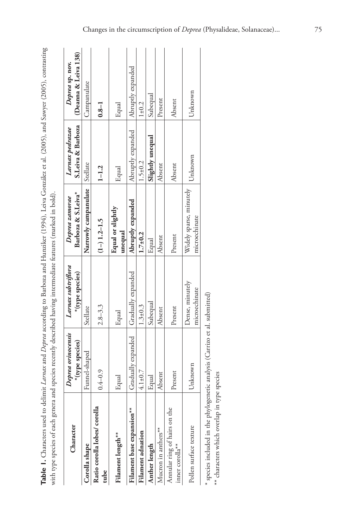Table 1. Characters used to delimit Larnax and Deprea according to Barboza and Hunziker (1994), Leiva González et al. (2005), and Sawyer (2005), contrasting **Table 1.** Characters used to delimit *Larnax* and *Deprea* according to Barboza and Hunziker (1994), Leiva González et al. (2005), and Sawyer (2005), contrasting with type species of each genera and species recently described having intermediate features (marked in bold). with type species of each genera and species recently described having intermediate features (marked in bold).

| Character                                       | Deprea orinocensis | Larnax subtriflora               | Deprea zamorae                           | Larnax pedrazae   | Deprea sp. nov.      |
|-------------------------------------------------|--------------------|----------------------------------|------------------------------------------|-------------------|----------------------|
|                                                 | *(type species)    | *(type species)                  | Barboza & S.Leiva*                       | S.Leiva & Barboza | (Deanna & Leiva 138) |
| Corolla shape                                   | Funnel-shaped      | Stellate                         | Narrowly campanulate                     | Stellate          | Campanulate          |
| Ratio corolla lobes/ corolla<br>tube            | $0.4 - 0.9$        | $2.8 - 3.3$                      | $(1-)$ 1.2-1.5                           | $1 - 1.2$         | $0.8 - 1$            |
| Filament length <sup>**</sup>                   | Equal              | Equal                            | Equal or slightly<br>unequal             | Equal             | Equal                |
| Filament base expansion**                       | Gradually expanded | Gradually expanded               | Abruptly expanded                        | Abruptly expanded | Abruptly expanded    |
| <b>Filament</b> adnation                        | $4.1 \pm 0.7$      | $1.3 \pm 0.3$                    | $1.7 + 0.2$                              | $1.5 \pm 0.2$     | $1 + 0.2$            |
| Anther length                                   | Equal              | Subequal                         | Equal                                    | Slightly unequal  | Subequal             |
| Mucron in anthers**                             | Absent             | Absent                           | Absent                                   | Absent            | Present              |
| Annular ring of hairs on the<br>inner corolla** | Present            | Present                          | Present                                  | Absent            | Absent               |
| Pollen surface texture                          | Unknown            | Dense, minutely<br>microechinate | Widely sparse, minutely<br>microechinate | Unknown           | Unknown              |
|                                                 |                    |                                  |                                          |                   |                      |

species included in the phylogenetic analysis (Carrizo et al. submitted) \* species included in the phylogenetic analysis (Carrizo et al. submitted)

\*\* characters which overlap in type species \*\* characters which overlap in type species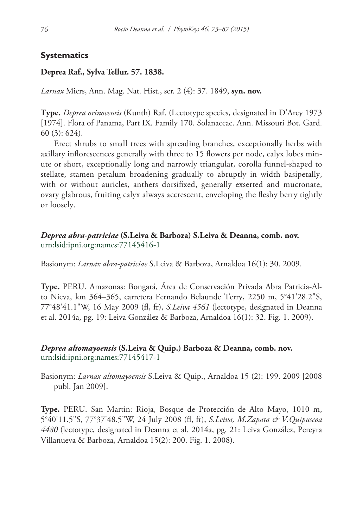#### **Systematics**

#### **Deprea Raf., Sylva Tellur. 57. 1838.**

*Larnax* Miers, Ann. Mag. Nat. Hist., ser. 2 (4): 37. 1849, **syn. nov.**

**Type.** *Deprea orinocensis* (Kunth) Raf. (Lectotype species, designated in D'Arcy 1973 [1974]. Flora of Panama, Part IX. Family 170. Solanaceae. Ann. Missouri Bot. Gard. 60 (3): 624).

Erect shrubs to small trees with spreading branches, exceptionally herbs with axillary inflorescences generally with three to 15 flowers per node, calyx lobes minute or short, exceptionally long and narrowly triangular, corolla funnel-shaped to stellate, stamen petalum broadening gradually to abruptly in width basipetally, with or without auricles, anthers dorsifixed, generally exserted and mucronate, ovary glabrous, fruiting calyx always accrescent, enveloping the fleshy berry tightly or loosely.

#### *Deprea abra-patriciae* **(S.Leiva & Barboza) S.Leiva & Deanna, comb. nov.** [urn:lsid:ipni.org:names:77145416-1](http://ipni.org/urn:lsid:ipni.org:names:77145416-1)

Basionym: *Larnax abra-patriciae* S.Leiva & Barboza, Arnaldoa 16(1): 30. 2009.

**Type.** PERU. Amazonas: Bongará, Área de Conservación Privada Abra Patricia-Alto Nieva, km 364–365, carretera Fernando Belaunde Terry, 2250 m, 5°41'28.2"S, 77°48'41.1"W, 16 May 2009 (fl, fr), *S.Leiva 4561* (lectotype, designated in Deanna et al. 2014a, pg. 19: Leiva González & Barboza, Arnaldoa 16(1): 32. Fig. 1. 2009).

#### *Deprea altomayoensis* **(S.Leiva & Quip.) Barboza & Deanna, comb. nov.** [urn:lsid:ipni.org:names:77145417-1](http://ipni.org/urn:lsid:ipni.org:names:77145417-1)

Basionym: *Larnax altomayoensis* S.Leiva & Quip., Arnaldoa 15 (2): 199. 2009 [2008 publ. Jan 2009].

**Type.** PERU. San Martin: Rioja, Bosque de Protección de Alto Mayo, 1010 m, 5°40'11.5"S, 77°37'48.5"W, 24 July 2008 (fl, fr), *S.Leiva, M.Zapata & V.Quipuscoa 4480* (lectotype, designated in Deanna et al. 2014a, pg. 21: Leiva González, Pereyra Villanueva & Barboza, Arnaldoa 15(2): 200. Fig. 1. 2008).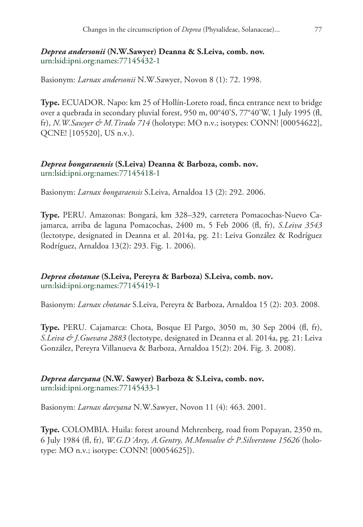#### *Deprea andersonii* **(N.W.Sawyer) Deanna & S.Leiva, comb. nov.** [urn:lsid:ipni.org:names:77145432-1](http://ipni.org/urn:lsid:ipni.org:names:77145432-1)

Basionym: *Larnax andersonii* N.W.Sawyer, Novon 8 (1): 72. 1998.

**Type.** ECUADOR. Napo: km 25 of Hollín-Loreto road, finca entrance next to bridge over a quebrada in secondary pluvial forest, 950 m, 00°40'S, 77°40'W, 1 July 1995 (fl, fr), *N.W.Sawyer & M.Tirado 714* (holotype: MO n.v.; isotypes: CONN! [00054622], QCNE! [105520], US n.v.).

#### *Deprea bongaraensis* **(S.Leiva) Deanna & Barboza, comb. nov.** [urn:lsid:ipni.org:names:77145418-1](http://ipni.org/urn:lsid:ipni.org:names:77145418-1)

Basionym: *Larnax bongaraensis* S.Leiva, Arnaldoa 13 (2): 292. 2006.

**Type.** PERU. Amazonas: Bongará, km 328–329, carretera Pomacochas-Nuevo Cajamarca, arriba de laguna Pomacochas, 2400 m, 5 Feb 2006 (fl, fr), *S.Leiva 3543* (lectotype, designated in Deanna et al. 2014a, pg. 21: Leiva González & Rodríguez Rodríguez, Arnaldoa 13(2): 293. Fig. 1. 2006).

*Deprea chotanae* **(S.Leiva, Pereyra & Barboza) S.Leiva, comb. nov.** [urn:lsid:ipni.org:names:77145419-1](http://ipni.org/urn:lsid:ipni.org:names:77145419-1)

Basionym: *Larnax chotanae* S.Leiva, Pereyra & Barboza, Arnaldoa 15 (2): 203. 2008.

**Type.** PERU. Cajamarca: Chota, Bosque El Pargo, 3050 m, 30 Sep 2004 (fl, fr), *S.Leiva & J.Guevara 2883* (lectotype, designated in Deanna et al. 2014a, pg. 21: Leiva González, Pereyra Villanueva & Barboza, Arnaldoa 15(2): 204. Fig. 3. 2008).

#### *Deprea darcyana* **(N.W. Sawyer) Barboza & S.Leiva, comb. nov.** [urn:lsid:ipni.org:names:77145433-1](http://ipni.org/urn:lsid:ipni.org:names:77145433-1)

Basionym: *Larnax darcyana* N.W.Sawyer, Novon 11 (4): 463. 2001.

**Type.** COLOMBIA. Huila: forest around Mehrenberg, road from Popayan, 2350 m, 6 July 1984 (fl, fr), *W.G.D´Arcy, A.Gentry, M.Monsalve & P.Silverstone 15626* (holotype: MO n.v.; isotype: CONN! [00054625]).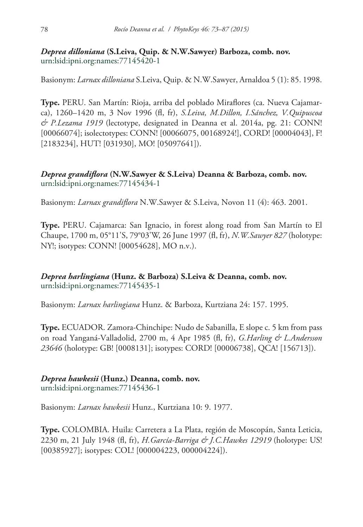## *Deprea dilloniana* **(S.Leiva, Quip. & N.W.Sawyer) Barboza, comb. nov.** [urn:lsid:ipni.org:names:77145420-1](http://ipni.org/urn:lsid:ipni.org:names:77145420-1)

Basionym: *Larnax dilloniana* S.Leiva, Quip. & N.W.Sawyer, Arnaldoa 5 (1): 85. 1998.

**Type.** PERU. San Martín: Rioja, arriba del poblado Miraflores (ca. Nueva Cajamarca), 1260–1420 m, 3 Nov 1996 (fl, fr), *S.Leiva, M.Dillon, I.Sánchez, V.Quipuscoa & P.Lezama 1919* (lectotype, designated in Deanna et al. 2014a, pg. 21: CONN! [00066074]; isolectotypes: CONN! [00066075, 00168924!], CORD! [00004043], F! [2183234], HUT! [031930], MO! [05097641]).

## *Deprea grandiflora* **(N.W.Sawyer & S.Leiva) Deanna & Barboza, comb. nov.** [urn:lsid:ipni.org:names:77145434-1](http://ipni.org/urn:lsid:ipni.org:names:77145434-1)

Basionym: *Larnax grandiflora* N.W.Sawyer & S.Leiva, Novon 11 (4): 463. 2001.

**Type.** PERU. Cajamarca: San Ignacio, in forest along road from San Martín to El Chaupe, 1700 m, 05°11'S, 79°03'W, 26 June 1997 (fl, fr), *N.W.Sawyer 827* (holotype: NY!; isotypes: CONN! [00054628], MO n.v.).

*Deprea harlingiana* **(Hunz. & Barboza) S.Leiva & Deanna, comb. nov.** [urn:lsid:ipni.org:names:77145435-1](http://ipni.org/urn:lsid:ipni.org:names:77145435-1)

Basionym: *Larnax harlingiana* Hunz. & Barboza, Kurtziana 24: 157. 1995.

**Type.** ECUADOR. Zamora-Chinchipe: Nudo de Sabanilla, E slope c. 5 km from pass on road Yanganá-Valladolid, 2700 m, 4 Apr 1985 (fl, fr), *G.Harling & L.Andersson 23646* (holotype: GB! [0008131]; isotypes: CORD! [00006738], QCA! [156713]).

## *Deprea hawkesii* **(Hunz.) Deanna, comb. nov.**

[urn:lsid:ipni.org:names:77145436-1](http://ipni.org/urn:lsid:ipni.org:names:77145436-1)

Basionym: *Larnax hawkesii* Hunz., Kurtziana 10: 9. 1977.

**Type.** COLOMBIA. Huila: Carretera a La Plata, región de Moscopán, Santa Leticia, 2230 m, 21 July 1948 (fl, fr), *H.García-Barriga & J.C.Hawkes 12919* (holotype: US! [00385927]; isotypes: COL! [000004223, 000004224]).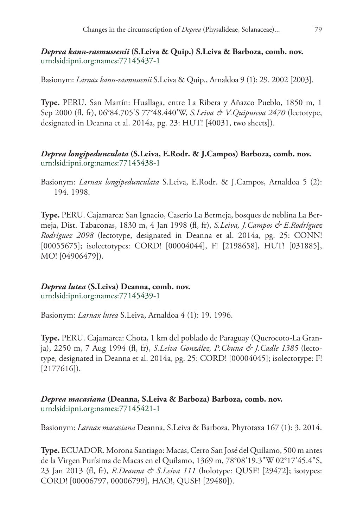#### *Deprea kann-rasmussenii* **(S.Leiva & Quip.) S.Leiva & Barboza, comb. nov.** [urn:lsid:ipni.org:names:77145437-1](http://ipni.org/urn:lsid:ipni.org:names:77145437-1)

Basionym: *Larnax kann-rasmussenii* S.Leiva & Quip., Arnaldoa 9 (1): 29. 2002 [2003].

**Type.** PERU. San Martín: Huallaga, entre La Ribera y Añazco Pueblo, 1850 m, 1 Sep 2000 (fl, fr), 06°84.705'S 77°48.440'W, *S.Leiva & V.Quipuscoa 2470* (lectotype, designated in Deanna et al. 2014a, pg. 23: HUT! [40031, two sheets]).

## *Deprea longipedunculata* **(S.Leiva, E.Rodr. & J.Campos) Barboza, comb. nov.** [urn:lsid:ipni.org:names:77145438-1](http://ipni.org/urn:lsid:ipni.org:names:77145438-1)

Basionym: *Larnax longipedunculata* S.Leiva, E.Rodr. & J.Campos, Arnaldoa 5 (2): 194. 1998.

**Type.** PERU. Cajamarca: San Ignacio, Caserío La Bermeja, bosques de neblina La Bermeja, Dist. Tabaconas, 1830 m, 4 Jan 1998 (fl, fr), *S.Leiva, J.Campos & E.Rodríguez Rodríguez 2098* (lectotype, designated in Deanna et al. 2014a, pg. 25: CONN! [00055675]; isolectotypes: CORD! [00004044], F! [2198658], HUT! [031885], MO! [04906479]).

## *Deprea lutea* **(S.Leiva) Deanna, comb. nov.**

[urn:lsid:ipni.org:names:77145439-1](http://ipni.org/urn:lsid:ipni.org:names:77145439-1)

Basionym: *Larnax lutea* S.Leiva, Arnaldoa 4 (1): 19. 1996.

**Type.** PERU. Cajamarca: Chota, 1 km del poblado de Paraguay (Querocoto-La Granja), 2250 m, 7 Aug 1994 (fl, fr), *S.Leiva González, P.Chuna & J.Cadle 1385* (lectotype, designated in Deanna et al. 2014a, pg. 25: CORD! [00004045]; isolectotype: F! [2177616]).

## *Deprea macasiana* **(Deanna, S.Leiva & Barboza) Barboza, comb. nov.** [urn:lsid:ipni.org:names:77145421-1](http://ipni.org/urn:lsid:ipni.org:names:77145421-1)

Basionym: *Larnax macasiana* Deanna, S.Leiva & Barboza, Phytotaxa 167 (1): 3. 2014.

**Type.** ECUADOR. Morona Santiago: Macas, Cerro San José del Quílamo, 500 m antes de la Virgen Purísima de Macas en el Quílamo, 1369 m, 78°08'19.3"W 02°17'45.4"S, 23 Jan 2013 (fl, fr), *R.Deanna & S.Leiva 111* (holotype: QUSF! [29472]; isotypes: CORD! [00006797, 00006799], HAO!, QUSF! [29480]).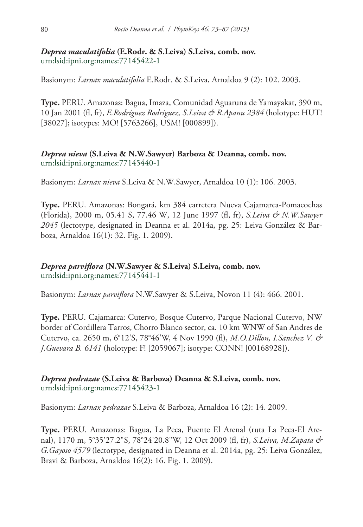## *Deprea maculatifolia* **(E.Rodr. & S.Leiva) S.Leiva, comb. nov.** [urn:lsid:ipni.org:names:77145422-1](http://ipni.org/urn:lsid:ipni.org:names:77145422-1)

Basionym: *Larnax maculatifolia* E.Rodr. & S.Leiva, Arnaldoa 9 (2): 102. 2003.

**Type.** PERU. Amazonas: Bagua, Imaza, Comunidad Aguaruna de Yamayakat, 390 m, 10 Jan 2001 (fl, fr), *E.Rodríguez Rodríguez, S.Leiva & R.Apanu 2384* (holotype: HUT! [38027]; isotypes: MO! [5763266], USM! [000899]).

## *Deprea nieva* **(S.Leiva & N.W.Sawyer) Barboza & Deanna, comb. nov.** [urn:lsid:ipni.org:names:77145440-1](http://ipni.org/urn:lsid:ipni.org:names:77145440-1)

Basionym: *Larnax nieva* S.Leiva & N.W.Sawyer, Arnaldoa 10 (1): 106. 2003.

**Type.** PERU. Amazonas: Bongará, km 384 carretera Nueva Cajamarca-Pomacochas (Florida), 2000 m, 05.41 S, 77.46 W, 12 June 1997 (fl, fr), *S.Leiva & N.W.Sawyer 2045* (lectotype, designated in Deanna et al. 2014a, pg. 25: Leiva González & Barboza, Arnaldoa 16(1): 32. Fig. 1. 2009).

## *Deprea parviflora* **(N.W.Sawyer & S.Leiva) S.Leiva, comb. nov.** [urn:lsid:ipni.org:names:77145441-1](http://ipni.org/urn:lsid:ipni.org:names:77145441-1)

Basionym: *Larnax parviflora* N.W.Sawyer & S.Leiva, Novon 11 (4): 466. 2001.

**Type.** PERU. Cajamarca: Cutervo, Bosque Cutervo, Parque Nacional Cutervo, NW border of Cordillera Tarros, Chorro Blanco sector, ca. 10 km WNW of San Andres de Cutervo, ca. 2650 m, 6°12'S, 78°46'W, 4 Nov 1990 (fl), *M.O.Dillon, I.Sanchez V. & J.Guevara B. 6141* (holotype: F! [2059067]; isotype: CONN! [00168928]).

*Deprea pedrazae* **(S.Leiva & Barboza) Deanna & S.Leiva, comb. nov.** [urn:lsid:ipni.org:names:77145423-1](http://ipni.org/urn:lsid:ipni.org:names:77145423-1)

Basionym: *Larnax pedrazae* S.Leiva & Barboza, Arnaldoa 16 (2): 14. 2009.

**Type.** PERU. Amazonas: Bagua, La Peca, Puente El Arenal (ruta La Peca-El Arenal), 1170 m, 5°35'27.2"S, 78°24'20.8"W, 12 Oct 2009 (fl, fr), *S.Leiva, M.Zapata & G.Gayoso 4579* (lectotype, designated in Deanna et al. 2014a, pg. 25: Leiva González, Bravi & Barboza, Arnaldoa 16(2): 16. Fig. 1. 2009).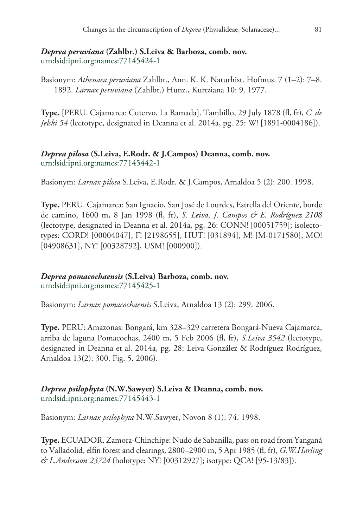## *Deprea peruviana* **(Zahlbr.) S.Leiva & Barboza, comb. nov.** [urn:lsid:ipni.org:names:77145424-1](http://ipni.org/urn:lsid:ipni.org:names:77145424-1)

Basionym: *Athenaea peruviana* Zahlbr., Ann. K. K. Naturhist. Hofmus. 7 (1–2): 7–8. 1892. *Larnax peruviana* (Zahlbr.) Hunz., Kurtziana 10: 9. 1977.

**Type.** [PERU. Cajamarca: Cutervo, La Ramada]. Tambillo, 29 July 1878 (fl, fr), *C. de Jelski 54* (lectotype, designated in Deanna et al. 2014a, pg. 25: W! [1891-0004186]).

## *Deprea pilosa* **(S.Leiva, E.Rodr. & J.Campos) Deanna, comb. nov.** [urn:lsid:ipni.org:names:77145442-1](http://ipni.org/urn:lsid:ipni.org:names:77145442-1)

Basionym: *Larnax pilosa* S.Leiva, E.Rodr. & J.Campos, Arnaldoa 5 (2): 200. 1998.

**Type.** PERU. Cajamarca: San Ignacio, San José de Lourdes, Estrella del Oriente, borde de camino, 1600 m, 8 Jan 1998 (fl, fr), *S. Leiva, J. Campos & E. Rodríguez 2108* (lectotype, designated in Deanna et al. 2014a, pg. 26: CONN! [00051759]; isolectotypes: CORD! [00004047], F! [2198655], HUT! [031894], M! [M-0171580], MO! [04908631], NY! [00328792], USM! [000900]).

*Deprea pomacochaensis* **(S.Leiva) Barboza, comb. nov.** [urn:lsid:ipni.org:names:77145425-1](http://ipni.org/urn:lsid:ipni.org:names:77145425-1)

Basionym: *Larnax pomacochaensis* S.Leiva, Arnaldoa 13 (2): 299. 2006.

**Type.** PERU: Amazonas: Bongará, km 328–329 carretera Bongará-Nueva Cajamarca, arriba de laguna Pomacochas, 2400 m, 5 Feb 2006 (fl, fr), *S.Leiva 3542* (lectotype, designated in Deanna et al. 2014a, pg. 28: Leiva González & Rodríguez Rodríguez, Arnaldoa 13(2): 300. Fig. 5. 2006).

## *Deprea psilophyta* **(N.W.Sawyer) S.Leiva & Deanna, comb. nov.** [urn:lsid:ipni.org:names:77145443-1](http://ipni.org/urn:lsid:ipni.org:names:77145443-1)

Basionym: *Larnax psilophyta* N.W.Sawyer, Novon 8 (1): 74. 1998.

**Type.** ECUADOR. Zamora-Chinchipe: Nudo de Sabanilla, pass on road from Yanganá to Valladolid, elfin forest and clearings, 2800–2900 m, 5 Apr 1985 (fl, fr), *G.W.Harling & L.Andersson 23724* (holotype: NY! [00312927]; isotype: QCA! [95-13/83]).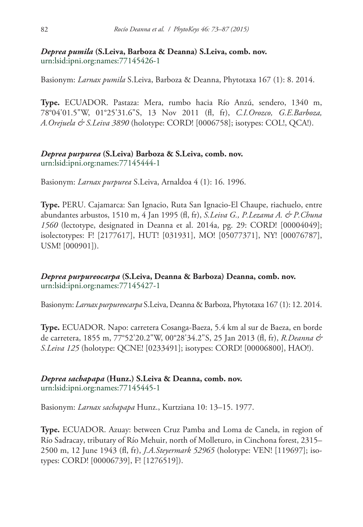#### *Deprea pumila* **(S.Leiva, Barboza & Deanna) S.Leiva, comb. nov.** [urn:lsid:ipni.org:names:77145426-1](http://ipni.org/urn:lsid:ipni.org:names:77145426-1)

Basionym: *Larnax pumila* S.Leiva, Barboza & Deanna, Phytotaxa 167 (1): 8. 2014.

**Type.** ECUADOR. Pastaza: Mera, rumbo hacia Río Anzú, sendero, 1340 m, 78°04'01.5"W, 01°25'31.6"S, 13 Nov 2011 (fl, fr), *C.I.Orozco, G.E.Barboza, A.Orejuela & S.Leiva 3890* (holotype: CORD! [0006758]; isotypes: COL!, QCA!).

#### *Deprea purpurea* **(S.Leiva) Barboza & S.Leiva, comb. nov.** [urn:lsid:ipni.org:names:77145444-1](http://ipni.org/urn:lsid:ipni.org:names:77145444-1)

Basionym: *Larnax purpurea* S.Leiva, Arnaldoa 4 (1): 16. 1996.

**Type.** PERU. Cajamarca: San Ignacio, Ruta San Ignacio-El Chaupe, riachuelo, entre abundantes arbustos, 1510 m, 4 Jan 1995 (fl, fr), *S.Leiva G., P.Lezama A. & P.Chuna 1560* (lectotype, designated in Deanna et al. 2014a, pg. 29: CORD! [00004049]; isolectotypes: F! [2177617], HUT! [031931], MO! [05077371], NY! [00076787], USM! [000901]).

*Deprea purpureocarpa* **(S.Leiva, Deanna & Barboza) Deanna, comb. nov.** [urn:lsid:ipni.org:names:77145427-1](http://ipni.org/urn:lsid:ipni.org:names:77145427-1)

Basionym: *Larnax purpureocarpa* S.Leiva, Deanna & Barboza, Phytotaxa 167 (1): 12. 2014.

**Type.** ECUADOR. Napo: carretera Cosanga-Baeza, 5.4 km al sur de Baeza, en borde de carretera, 1855 m, 77°52'20.2"W, 00°28'34.2"S, 25 Jan 2013 (fl, fr), *R.Deanna & S.Leiva 125* (holotype: QCNE! [0233491]; isotypes: CORD! [00006800], HAO!).

*Deprea sachapapa* **(Hunz.) S.Leiva & Deanna, comb. nov.** [urn:lsid:ipni.org:names:77145445-1](http://ipni.org/urn:lsid:ipni.org:names:77145445-1)

Basionym: *Larnax sachapapa* Hunz., Kurtziana 10: 13–15. 1977.

**Type.** ECUADOR. Azuay: between Cruz Pamba and Loma de Canela, in region of Río Sadracay, tributary of Río Mehuir, north of Molleturo, in Cinchona forest, 2315– 2500 m, 12 June 1943 (fl, fr), *J.A.Steyermark 52965* (holotype: VEN! [119697]; isotypes: CORD! [00006739], F! [1276519]).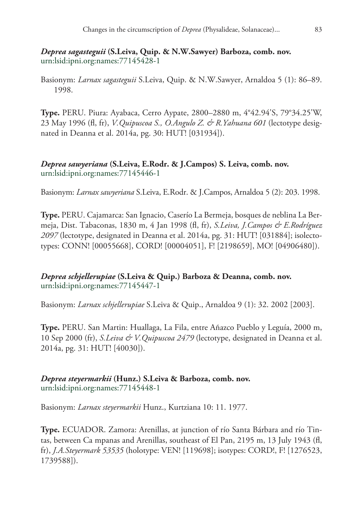#### *Deprea sagasteguii* **(S.Leiva, Quip. & N.W.Sawyer) Barboza, comb. nov.** [urn:lsid:ipni.org:names:77145428-1](http://ipni.org/urn:lsid:ipni.org:names:77145428-1)

Basionym: *Larnax sagasteguii* S.Leiva, Quip. & N.W.Sawyer, Arnaldoa 5 (1): 86–89. 1998.

**Type.** PERU. Piura: Ayabaca, Cerro Aypate, 2800–2880 m, 4°42.94'S, 79°34.25'W, 23 May 1996 (fl, fr), *V.Quipuscoa S., O.Angulo Z. & R.Yahuana 601* (lectotype designated in Deanna et al. 2014a, pg. 30: HUT! [031934]).

*Deprea sawyeriana* **(S.Leiva, E.Rodr. & J.Campos) S. Leiva, comb. nov.** [urn:lsid:ipni.org:names:77145446-1](http://ipni.org/urn:lsid:ipni.org:names:77145446-1)

Basionym: *Larnax sawyeriana* S.Leiva, E.Rodr. & J.Campos, Arnaldoa 5 (2): 203. 1998.

**Type.** PERU. Cajamarca: San Ignacio, Caserío La Bermeja, bosques de neblina La Bermeja, Dist. Tabaconas, 1830 m, 4 Jan 1998 (fl, fr), *S.Leiva, J.Campos & E.Rodríguez 2097* (lectotype, designated in Deanna et al. 2014a, pg. 31: HUT! [031884]; isolectotypes: CONN! [00055668], CORD! [00004051], F! [2198659], MO! [04906480]).

*Deprea schjellerupiae* **(S.Leiva & Quip.) Barboza & Deanna, comb. nov.** [urn:lsid:ipni.org:names:77145447-1](http://ipni.org/urn:lsid:ipni.org:names:77145447-1)

Basionym: *Larnax schjellerupiae* S.Leiva & Quip., Arnaldoa 9 (1): 32. 2002 [2003].

**Type.** PERU. San Martin: Huallaga, La Fila, entre Añazco Pueblo y Leguía, 2000 m, 10 Sep 2000 (fr), *S.Leiva & V.Quipuscoa 2479* (lectotype, designated in Deanna et al. 2014a, pg. 31: HUT! [40030]).

*Deprea steyermarkii* **(Hunz.) S.Leiva & Barboza, comb. nov.** [urn:lsid:ipni.org:names:77145448-1](http://ipni.org/urn:lsid:ipni.org:names:77145448-1)

Basionym: *Larnax steyermarkii* Hunz., Kurtziana 10: 11. 1977.

**Type.** ECUADOR. Zamora: Arenillas, at junction of río Santa Bárbara and río Tintas, between Ca mpanas and Arenillas, southeast of El Pan, 2195 m, 13 July 1943 (fl, fr), *J.A.Steyermark 53535* (holotype: VEN! [119698]; isotypes: CORD!, F! [1276523, 1739588]).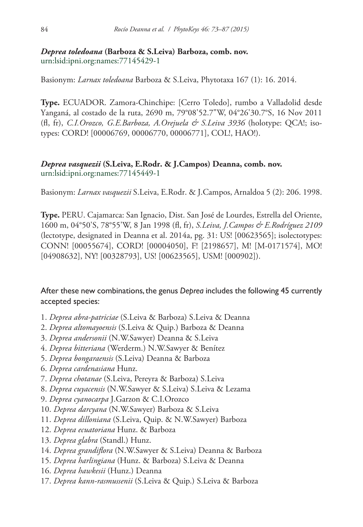## *Deprea toledoana* **(Barboza & S.Leiva) Barboza, comb. nov.** [urn:lsid:ipni.org:names:77145429-1](http://ipni.org/urn:lsid:ipni.org:names:77145429-1)

Basionym: *Larnax toledoana* Barboza & S.Leiva, Phytotaxa 167 (1): 16. 2014.

**Type.** ECUADOR. Zamora-Chinchipe: [Cerro Toledo], rumbo a Valladolid desde Yanganá, al costado de la ruta, 2690 m, 79°08'52.7"W, 04°26'30.7°S, 16 Nov 2011 (fl, fr), *C.I.Orozco, G.E.Barboza, A.Orejuela & S.Leiva 3936* (holotype: QCA!; isotypes: CORD! [00006769, 00006770, 00006771], COL!, HAO!).

## *Deprea vasquezii* **(S.Leiva, E.Rodr. & J.Campos) Deanna, comb. nov.** [urn:lsid:ipni.org:names:77145449-1](http://ipni.org/urn:lsid:ipni.org:names:77145449-1)

Basionym: *Larnax vasquezii* S.Leiva, E.Rodr. & J.Campos, Arnaldoa 5 (2): 206. 1998.

**Type.** PERU. Cajamarca: San Ignacio, Dist. San José de Lourdes, Estrella del Oriente, 1600 m, 04°50'S, 78°55'W, 8 Jan 1998 (fl, fr), *S.Leiva, J.Campos & E.Rodríguez 2109* (lectotype, designated in Deanna et al. 2014a, pg. 31: US! [00623565]; isolectotypes: CONN! [00055674], CORD! [00004050], F! [2198657], M! [M-0171574], MO! [04908632], NY! [00328793], US! [00623565], USM! [000902]).

After these new combinations, the genus *Deprea* includes the following 45 currently accepted species:

- 1. *Deprea abra-patriciae* (S.Leiva & Barboza) S.Leiva & Deanna
- 2. *Deprea altomayoensis* (S.Leiva & Quip.) Barboza & Deanna
- 3. *Deprea andersonii* (N.W.Sawyer) Deanna & S.Leiva
- 4. *Deprea bitteriana* (Werderm.) N.W.Sawyer & Benítez
- 5. *Deprea bongaraensis* (S.Leiva) Deanna & Barboza
- 6. *Deprea cardenasiana* Hunz.
- 7. *Deprea chotanae* (S.Leiva, Pereyra & Barboza) S.Leiva
- 8. *Deprea cuyacensis* (N.W.Sawyer & S.Leiva) S.Leiva & Lezama
- 9. *Deprea cyanocarpa* J.Garzon & C.I.Orozco
- 10. *Deprea darcyana* (N.W.Sawyer) Barboza & S.Leiva
- 11. *Deprea dilloniana* (S.Leiva, Quip. & N.W.Sawyer) Barboza
- 12. *Deprea ecuatoriana* Hunz. & Barboza
- 13. *Deprea glabra* (Standl.) Hunz.
- 14. *Deprea grandiflora* (N.W.Sawyer & S.Leiva) Deanna & Barboza
- 15. *Deprea harlingiana* (Hunz. & Barboza) S.Leiva & Deanna
- 16. *Deprea hawkesii* (Hunz.) Deanna
- 17. *Deprea kann-rasmussenii* (S.Leiva & Quip.) S.Leiva & Barboza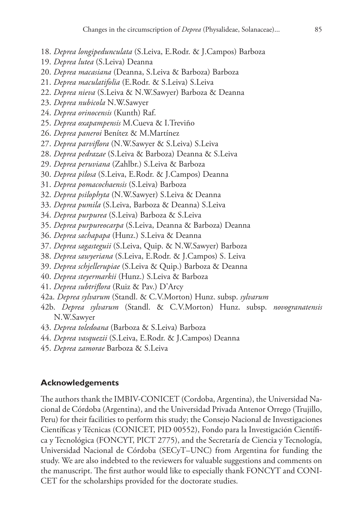- 18. *Deprea longipedunculata* (S.Leiva, E.Rodr. & J.Campos) Barboza
- 19. *Deprea lutea* (S.Leiva) Deanna
- 20. *Deprea macasiana* (Deanna, S.Leiva & Barboza) Barboza
- 21. *Deprea maculatifolia* (E.Rodr. & S.Leiva) S.Leiva
- 22. *Deprea nieva* (S.Leiva & N.W.Sawyer) Barboza & Deanna
- 23. *Deprea nubicola* N.W.Sawyer
- 24. *Deprea orinocensis* (Kunth) Raf.
- 25. *Deprea oxapampensis* M.Cueva & I.Treviño
- 26. *Deprea paneroi* Benítez & M.Martínez
- 27. *Deprea parviflora* (N.W.Sawyer & S.Leiva) S.Leiva
- 28. *Deprea pedrazae* (S.Leiva & Barboza) Deanna & S.Leiva
- 29. *Deprea peruviana* (Zahlbr.) S.Leiva & Barboza
- 30. *Deprea pilosa* (S.Leiva, E.Rodr. & J.Campos) Deanna
- 31. *Deprea pomacochaensis* (S.Leiva) Barboza
- 32. *Deprea psilophyta* (N.W.Sawyer) S.Leiva & Deanna
- 33. *Deprea pumila* (S.Leiva, Barboza & Deanna) S.Leiva
- 34. *Deprea purpurea* (S.Leiva) Barboza & S.Leiva
- 35. *Deprea purpureocarpa* (S.Leiva, Deanna & Barboza) Deanna
- 36. *Deprea sachapapa* (Hunz.) S.Leiva & Deanna
- 37. *Deprea sagasteguii* (S.Leiva, Quip. & N.W.Sawyer) Barboza
- 38. *Deprea sawyeriana* (S.Leiva, E.Rodr. & J.Campos) S. Leiva
- 39. *Deprea schjellerupiae* (S.Leiva & Quip.) Barboza & Deanna
- 40. *Deprea steyermarkii* (Hunz.) S.Leiva & Barboza
- 41. *Deprea subtriflora* (Ruiz & Pav.) D'Arcy
- 42a. *Deprea sylvarum* (Standl. & C.V.Morton) Hunz. subsp. *sylvarum*
- 42b. *Deprea sylvarum* (Standl. & C.V.Morton) Hunz. subsp. *novogranatensis*  N.W.Sawyer
- 43. *Deprea toledoana* (Barboza & S.Leiva) Barboza
- 44. *Deprea vasquezii* (S.Leiva, E.Rodr. & J.Campos) Deanna
- 45. *Deprea zamorae* Barboza & S.Leiva

#### **Acknowledgements**

The authors thank the IMBIV-CONICET (Cordoba, Argentina), the Universidad Nacional de Córdoba (Argentina), and the Universidad Privada Antenor Orrego (Trujillo, Peru) for their facilities to perform this study; the Consejo Nacional de Investigaciones Científicas y Técnicas (CONICET, PID 00552), Fondo para la Investigación Científica y Tecnológica (FONCYT, PICT 2775), and the Secretaría de Ciencia y Tecnología, Universidad Nacional de Córdoba (SECyT–UNC) from Argentina for funding the study. We are also indebted to the reviewers for valuable suggestions and comments on the manuscript. The first author would like to especially thank FONCYT and CONI-CET for the scholarships provided for the doctorate studies.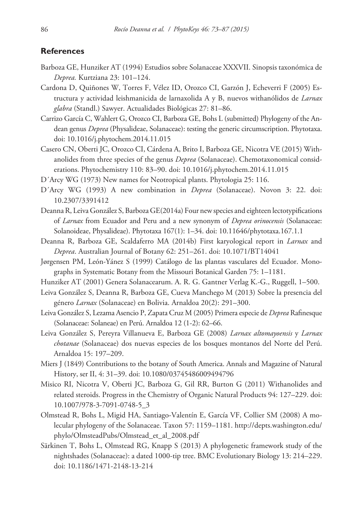#### **References**

- Barboza GE, Hunziker AT (1994) Estudios sobre Solanaceae XXXVII. Sinopsis taxonómica de *Deprea.* Kurtziana 23: 101–124.
- Cardona D, Quiñones W, Torres F, Vélez ID, Orozco CI, Garzón J, Echeverri F (2005) Estructura y actividad leishmanicida de larnaxolida A y B, nuevos withanólidos de *Larnax glabra* (Standl.) Sawyer. Actualidades Biológicas 27: 81–86.
- Carrizo García C, Wahlert G, Orozco CI, Barboza GE, Bohs L (submitted) Phylogeny of the Andean genus *Deprea* (Physalideae, Solanaceae): testing the generic circumscription. Phytotaxa. [doi: 10.1016/j.phytochem.2014.11.015](http://dx.doi.org/10.1016/j.phytochem.2014.11.015)
- Casero CN, Oberti JC, Orozco CI, Cárdena A, Brito I, Barboza GE, Nicotra VE (2015) Withanolides from three species of the genus *Deprea* (Solanaceae). Chemotaxonomical considerations. Phytochemistry 110: 83–90. [doi: 10.1016/j.phytochem.2014.11.015](http://dx.doi.org/10.1016/j.phytochem.2014.11.015)
- D´Arcy WG (1973) New names for Neotropical plants. Phytologia 25: 116.
- D´Arcy WG (1993) A new combination in *Deprea* (Solanaceae). Novon 3: 22. [doi:](http://dx.doi.org/10.2307/3391412) [10.2307/3391412](http://dx.doi.org/10.2307/3391412)
- Deanna R, Leiva González S, Barboza GE(2014a) Four new species and eighteen lectotypifications of *Larnax* from Ecuador and Peru and a new synonym of *Deprea orinocensis* (Solanaceae: Solanoideae, Physalideae). Phytotaxa 167(1): 1–34. [doi: 10.11646/phytotaxa.167.1.1](http://dx.doi.org/10.11646/phytotaxa.167.1.1)
- Deanna R, Barboza GE, Scaldaferro MA (2014b) First karyological report in *Larnax* and *Deprea*. Australian Journal of Botany 62: 251–261. [doi: 10.1071/BT14041](http://dx.doi.org/10.1071/BT14041)
- Jørgensen PM, León-Yánez S (1999) Catálogo de las plantas vasculares del Ecuador. Monographs in Systematic Botany from the Missouri Botanical Garden 75: 1–1181.
- Hunziker AT (2001) Genera Solanacearum. A. R. G. Gantner Verlag K.-G., Ruggell, 1–500.
- Leiva González S, Deanna R, Barboza GE, Cueva Manchego M (2013) Sobre la presencia del género *Larnax* (Solanaceae) en Bolivia. Arnaldoa 20(2): 291–300.
- Leiva González S, Lezama Asencio P, Zapata Cruz M (2005) Primera especie de *Deprea* Rafinesque (Solanaceae: Solaneae) en Perú. Arnaldoa 12 (1-2): 62–66.
- Leiva González S, Pereyra Villanueva E, Barboza GE (2008) *Larnax altomayoensis* y *Larnax chotanae* (Solanaceae) dos nuevas especies de los bosques montanos del Norte del Perú. Arnaldoa 15: 197–209.
- Miers J (1849) Contributions to the botany of South America. Annals and Magazine of Natural History, ser II, 4: 31–39. [doi: 10.1080/03745486009494796](http://dx.doi.org/10.1080/03745486009494796)
- Misico RI, Nicotra V, Oberti JC, Barboza G, Gil RR, Burton G (2011) Withanolides and related steroids. Progress in the Chemistry of Organic Natural Products 94: 127–229. [doi:](http://dx.doi.org/10.1007/978-3-7091-0748-5_3) [10.1007/978-3-7091-0748-5\\_3](http://dx.doi.org/10.1007/978-3-7091-0748-5_3)
- Olmstead R, Bohs L, Migid HA, Santiago-Valentín E, García VF, Collier SM (2008) A molecular phylogeny of the Solanaceae. Taxon 57: 1159–1181. [http://depts.washington.edu/](http://depts.washington.edu/phylo/OlmsteadPubs/Olmstead_et_al_2008.pdf) [phylo/OlmsteadPubs/Olmstead\\_et\\_al\\_2008.pdf](http://depts.washington.edu/phylo/OlmsteadPubs/Olmstead_et_al_2008.pdf)
- Särkinen T, Bohs L, Olmstead RG, Knapp S (2013) A phylogenetic framework study of the nightshades (Solanaceae): a dated 1000-tip tree. BMC Evolutionary Biology 13: 214–229. [doi: 10.1186/1471-2148-13-214](http://dx.doi.org/10.1186/1471-2148-13-214)